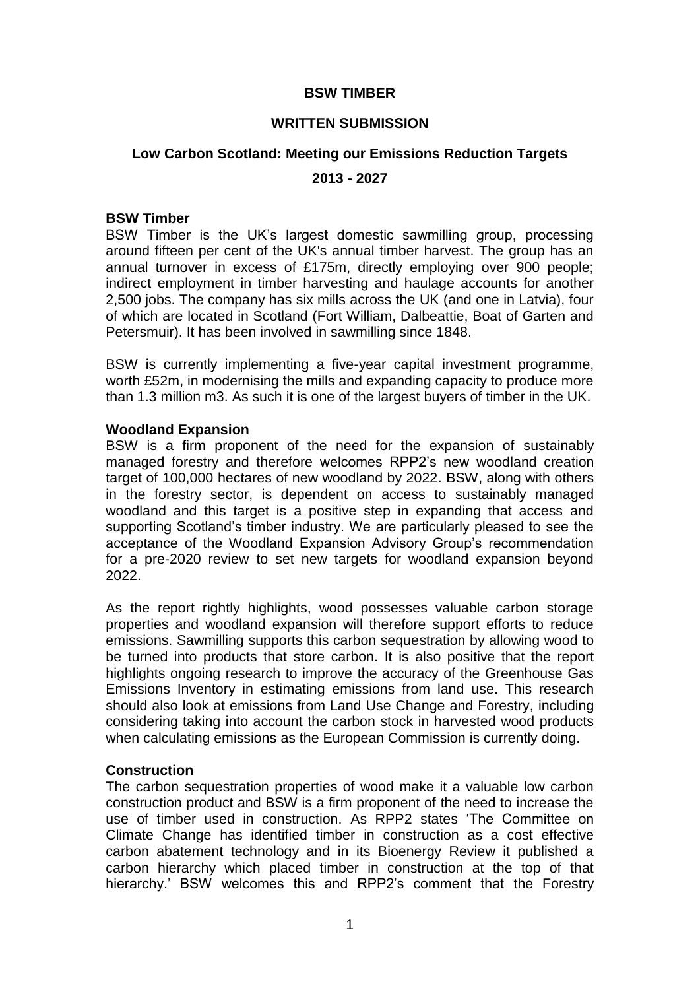# **BSW TIMBER**

## **WRITTEN SUBMISSION**

# **Low Carbon Scotland: Meeting our Emissions Reduction Targets 2013 - 2027**

#### **BSW Timber**

BSW Timber is the UK's largest domestic sawmilling group, processing around fifteen per cent of the UK's annual timber harvest. The group has an annual turnover in excess of £175m, directly employing over 900 people; indirect employment in timber harvesting and haulage accounts for another 2,500 jobs. The company has six mills across the UK (and one in Latvia), four of which are located in Scotland (Fort William, Dalbeattie, Boat of Garten and Petersmuir). It has been involved in sawmilling since 1848.

BSW is currently implementing a five-year capital investment programme, worth £52m, in modernising the mills and expanding capacity to produce more than 1.3 million m3. As such it is one of the largest buyers of timber in the UK.

# **Woodland Expansion**

BSW is a firm proponent of the need for the expansion of sustainably managed forestry and therefore welcomes RPP2's new woodland creation target of 100,000 hectares of new woodland by 2022. BSW, along with others in the forestry sector, is dependent on access to sustainably managed woodland and this target is a positive step in expanding that access and supporting Scotland's timber industry. We are particularly pleased to see the acceptance of the Woodland Expansion Advisory Group's recommendation for a pre-2020 review to set new targets for woodland expansion beyond 2022.

As the report rightly highlights, wood possesses valuable carbon storage properties and woodland expansion will therefore support efforts to reduce emissions. Sawmilling supports this carbon sequestration by allowing wood to be turned into products that store carbon. It is also positive that the report highlights ongoing research to improve the accuracy of the Greenhouse Gas Emissions Inventory in estimating emissions from land use. This research should also look at emissions from Land Use Change and Forestry, including considering taking into account the carbon stock in harvested wood products when calculating emissions as the European Commission is currently doing.

# **Construction**

The carbon sequestration properties of wood make it a valuable low carbon construction product and BSW is a firm proponent of the need to increase the use of timber used in construction. As RPP2 states 'The Committee on Climate Change has identified timber in construction as a cost effective carbon abatement technology and in its Bioenergy Review it published a carbon hierarchy which placed timber in construction at the top of that hierarchy.' BSW welcomes this and RPP2's comment that the Forestry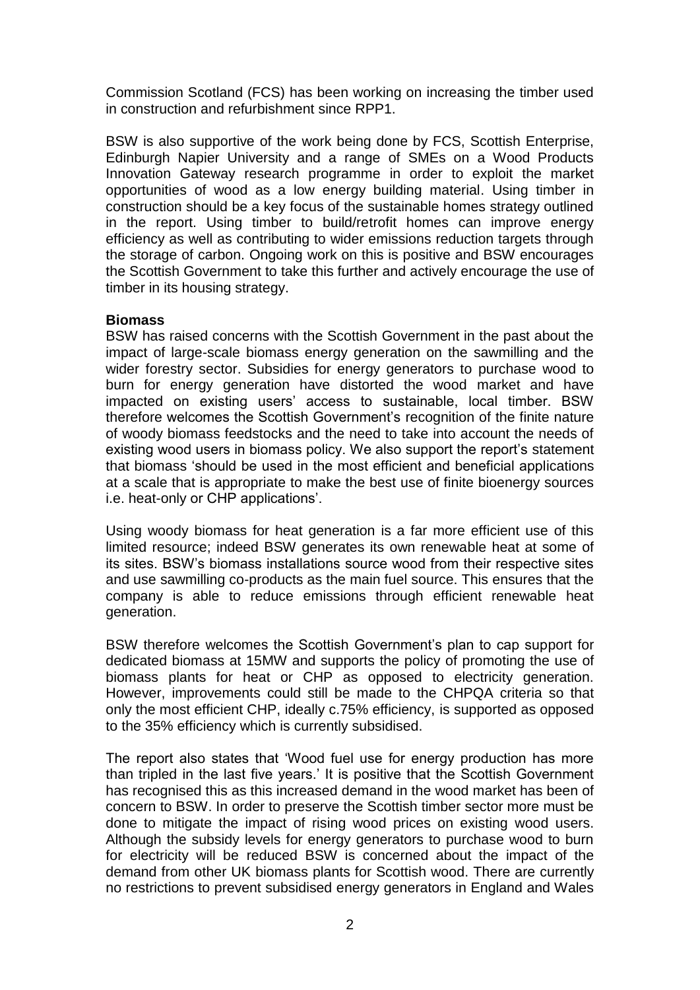Commission Scotland (FCS) has been working on increasing the timber used in construction and refurbishment since RPP1.

BSW is also supportive of the work being done by FCS, Scottish Enterprise, Edinburgh Napier University and a range of SMEs on a Wood Products Innovation Gateway research programme in order to exploit the market opportunities of wood as a low energy building material. Using timber in construction should be a key focus of the sustainable homes strategy outlined in the report. Using timber to build/retrofit homes can improve energy efficiency as well as contributing to wider emissions reduction targets through the storage of carbon. Ongoing work on this is positive and BSW encourages the Scottish Government to take this further and actively encourage the use of timber in its housing strategy.

# **Biomass**

BSW has raised concerns with the Scottish Government in the past about the impact of large-scale biomass energy generation on the sawmilling and the wider forestry sector. Subsidies for energy generators to purchase wood to burn for energy generation have distorted the wood market and have impacted on existing users' access to sustainable, local timber. BSW therefore welcomes the Scottish Government's recognition of the finite nature of woody biomass feedstocks and the need to take into account the needs of existing wood users in biomass policy. We also support the report's statement that biomass 'should be used in the most efficient and beneficial applications at a scale that is appropriate to make the best use of finite bioenergy sources i.e. heat-only or CHP applications'.

Using woody biomass for heat generation is a far more efficient use of this limited resource; indeed BSW generates its own renewable heat at some of its sites. BSW's biomass installations source wood from their respective sites and use sawmilling co-products as the main fuel source. This ensures that the company is able to reduce emissions through efficient renewable heat generation.

BSW therefore welcomes the Scottish Government's plan to cap support for dedicated biomass at 15MW and supports the policy of promoting the use of biomass plants for heat or CHP as opposed to electricity generation. However, improvements could still be made to the CHPQA criteria so that only the most efficient CHP, ideally c.75% efficiency, is supported as opposed to the 35% efficiency which is currently subsidised.

The report also states that 'Wood fuel use for energy production has more than tripled in the last five years.' It is positive that the Scottish Government has recognised this as this increased demand in the wood market has been of concern to BSW. In order to preserve the Scottish timber sector more must be done to mitigate the impact of rising wood prices on existing wood users. Although the subsidy levels for energy generators to purchase wood to burn for electricity will be reduced BSW is concerned about the impact of the demand from other UK biomass plants for Scottish wood. There are currently no restrictions to prevent subsidised energy generators in England and Wales